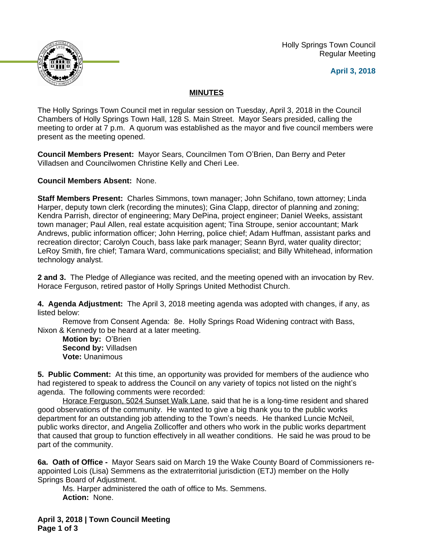Holly Springs Town Council Regular Meeting





## **MINUTES**

The Holly Springs Town Council met in regular session on Tuesday, April 3, 2018 in the Council Chambers of Holly Springs Town Hall, 128 S. Main Street. Mayor Sears presided, calling the meeting to order at 7 p.m. A quorum was established as the mayor and five council members were present as the meeting opened.

**Council Members Present:** Mayor Sears, Councilmen Tom O'Brien, Dan Berry and Peter Villadsen and Councilwomen Christine Kelly and Cheri Lee.

**Council Members Absent:** None.

**Staff Members Present:** Charles Simmons, town manager; John Schifano, town attorney; Linda Harper, deputy town clerk (recording the minutes); Gina Clapp, director of planning and zoning; Kendra Parrish, director of engineering; Mary DePina, project engineer; Daniel Weeks, assistant town manager; Paul Allen, real estate acquisition agent; Tina Stroupe, senior accountant; Mark Andrews, public information officer; John Herring, police chief; Adam Huffman, assistant parks and recreation director; Carolyn Couch, bass lake park manager; Seann Byrd, water quality director; LeRoy Smith, fire chief; Tamara Ward, communications specialist; and Billy Whitehead, information technology analyst.

**2 and 3.** The Pledge of Allegiance was recited, and the meeting opened with an invocation by Rev. Horace Ferguson, retired pastor of Holly Springs United Methodist Church.

**4. Agenda Adjustment:** The April 3, 2018 meeting agenda was adopted with changes, if any, as listed below:

Remove from Consent Agenda: 8e. Holly Springs Road Widening contract with Bass, Nixon & Kennedy to be heard at a later meeting.

**Motion by:** O'Brien **Second by:** Villadsen **Vote:** Unanimous

**5. Public Comment:** At this time, an opportunity was provided for members of the audience who had registered to speak to address the Council on any variety of topics not listed on the night's agenda. The following comments were recorded:

Horace Ferguson, 5024 Sunset Walk Lane, said that he is a long-time resident and shared good observations of the community. He wanted to give a big thank you to the public works department for an outstanding job attending to the Town's needs. He thanked Luncie McNeil, public works director, and Angelia Zollicoffer and others who work in the public works department that caused that group to function effectively in all weather conditions. He said he was proud to be part of the community.

**6a. Oath of Office -** Mayor Sears said on March 19 the Wake County Board of Commissioners reappointed Lois (Lisa) Semmens as the extraterritorial jurisdiction (ETJ) member on the Holly Springs Board of Adjustment.

Ms. Harper administered the oath of office to Ms. Semmens. **Action:** None.

**April 3, 2018 | Town Council Meeting Page 1 of 3**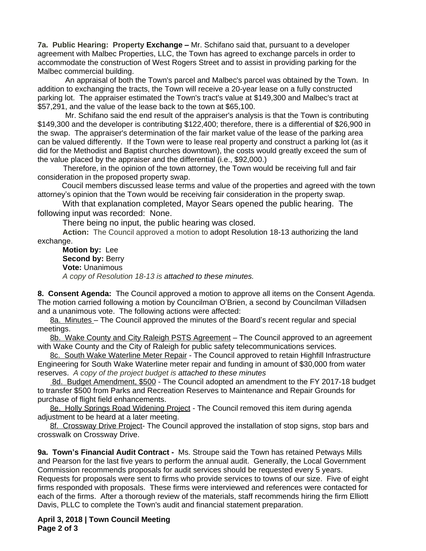**7a. Public Hearing: Property Exchange –** Mr. Schifano said that, pursuant to a developer agreement with Malbec Properties, LLC, the Town has agreed to exchange parcels in order to accommodate the construction of West Rogers Street and to assist in providing parking for the Malbec commercial building.

 An appraisal of both the Town's parcel and Malbec's parcel was obtained by the Town. In addition to exchanging the tracts, the Town will receive a 20-year lease on a fully constructed parking lot. The appraiser estimated the Town's tract's value at \$149,300 and Malbec's tract at \$57,291, and the value of the lease back to the town at \$65,100.

 Mr. Schifano said the end result of the appraiser's analysis is that the Town is contributing \$149,300 and the developer is contributing \$122,400; therefore, there is a differential of \$26,900 in the swap. The appraiser's determination of the fair market value of the lease of the parking area can be valued differently. If the Town were to lease real property and construct a parking lot (as it did for the Methodist and Baptist churches downtown), the costs would greatly exceed the sum of the value placed by the appraiser and the differential (i.e., \$92,000.)

 Therefore, in the opinion of the town attorney, the Town would be receiving full and fair consideration in the proposed property swap.

Coucil members discussed lease terms and value of the properties and agreed with the town attorney's opinion that the Town would be receiving fair consideration in the property swap.

With that explanation completed, Mayor Sears opened the public hearing. The following input was recorded: None.

There being no input, the public hearing was closed.

**Action:** The Council approved a motion to adopt Resolution 18-13 authorizing the land exchange.

**Motion by:** Lee **Second by: Berry Vote:** Unanimous *A copy of Resolution 18-13 is attached to these minutes.*

**8. Consent Agenda:** The Council approved a motion to approve all items on the Consent Agenda. The motion carried following a motion by Councilman O'Brien, a second by Councilman Villadsen and a unanimous vote. The following actions were affected:

8a. Minutes - The Council approved the minutes of the Board's recent regular and special meetings.

8b. Wake County and City Raleigh PSTS Agreement – The Council approved to an agreement with Wake County and the City of Raleigh for public safety telecommunications services.

8c. South Wake Waterline Meter Repair - The Council approved to retain Highfill Infrastructure Engineering for South Wake Waterline meter repair and funding in amount of \$30,000 from water reserves. *A copy of the project budget is attached to these minutes*

 8d. Budget Amendment, \$500 - The Council adopted an amendment to the FY 2017-18 budget to transfer \$500 from Parks and Recreation Reserves to Maintenance and Repair Grounds for purchase of flight field enhancements.

8e. Holly Springs Road Widening Project - The Council removed this item during agenda adjustment to be heard at a later meeting.

8f. Crossway Drive Project- The Council approved the installation of stop signs, stop bars and crosswalk on Crossway Drive.

**9a. Town's Financial Audit Contract -** Ms. Stroupe said the Town has retained Petways Mills and Pearson for the last five years to perform the annual audit. Generally, the Local Government Commission recommends proposals for audit services should be requested every 5 years. Requests for proposals were sent to firms who provide services to towns of our size. Five of eight firms responded with proposals. These firms were interviewed and references were contacted for each of the firms. After a thorough review of the materials, staff recommends hiring the firm Elliott Davis, PLLC to complete the Town's audit and financial statement preparation.

**April 3, 2018 | Town Council Meeting Page 2 of 3**